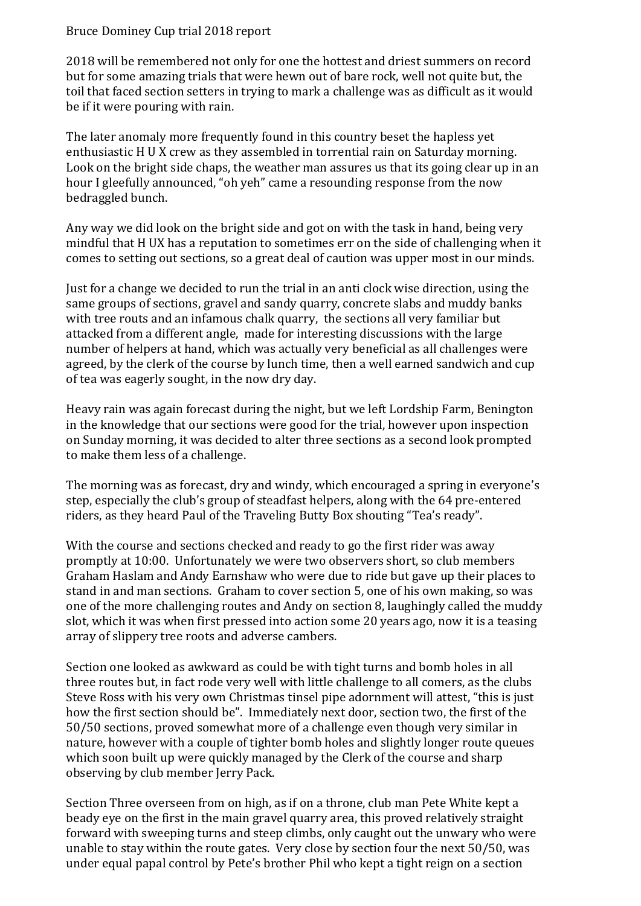## Bruce Dominey Cup trial 2018 report

2018 will be remembered not only for one the hottest and driest summers on record but for some amazing trials that were hewn out of bare rock, well not quite but, the toil that faced section setters in trying to mark a challenge was as difficult as it would be if it were pouring with rain.

The later anomaly more frequently found in this country beset the hapless yet enthusiastic H U X crew as they assembled in torrential rain on Saturday morning. Look on the bright side chaps, the weather man assures us that its going clear up in an hour I gleefully announced, "oh yeh" came a resounding response from the now bedraggled bunch.

Any way we did look on the bright side and got on with the task in hand, being very mindful that H UX has a reputation to sometimes err on the side of challenging when it comes to setting out sections, so a great deal of caution was upper most in our minds.

Just for a change we decided to run the trial in an anti clock wise direction, using the same groups of sections, gravel and sandy quarry, concrete slabs and muddy banks with tree routs and an infamous chalk quarry, the sections all very familiar but attacked from a different angle, made for interesting discussions with the large number of helpers at hand, which was actually very beneficial as all challenges were agreed, by the clerk of the course by lunch time, then a well earned sandwich and cup of tea was eagerly sought, in the now dry day.

Heavy rain was again forecast during the night, but we left Lordship Farm, Benington in the knowledge that our sections were good for the trial, however upon inspection on Sunday morning, it was decided to alter three sections as a second look prompted to make them less of a challenge.

The morning was as forecast, dry and windy, which encouraged a spring in everyone's step, especially the club's group of steadfast helpers, along with the 64 pre-entered riders, as they heard Paul of the Traveling Butty Box shouting "Tea's ready".

With the course and sections checked and ready to go the first rider was away promptly at 10:00. Unfortunately we were two observers short, so club members Graham Haslam and Andy Earnshaw who were due to ride but gave up their places to stand in and man sections. Graham to cover section 5, one of his own making, so was one of the more challenging routes and Andy on section 8, laughingly called the muddy slot, which it was when first pressed into action some 20 years ago, now it is a teasing array of slippery tree roots and adverse cambers.

Section one looked as awkward as could be with tight turns and bomb holes in all three routes but, in fact rode very well with little challenge to all comers, as the clubs Steve Ross with his very own Christmas tinsel pipe adornment will attest, "this is just how the first section should be". Immediately next door, section two, the first of the 50/50 sections, proved somewhat more of a challenge even though very similar in nature, however with a couple of tighter bomb holes and slightly longer route queues which soon built up were quickly managed by the Clerk of the course and sharp observing by club member Jerry Pack.

Section Three overseen from on high, as if on a throne, club man Pete White kept a beady eye on the first in the main gravel quarry area, this proved relatively straight forward with sweeping turns and steep climbs, only caught out the unwary who were unable to stay within the route gates. Very close by section four the next 50/50, was under equal papal control by Pete's brother Phil who kept a tight reign on a section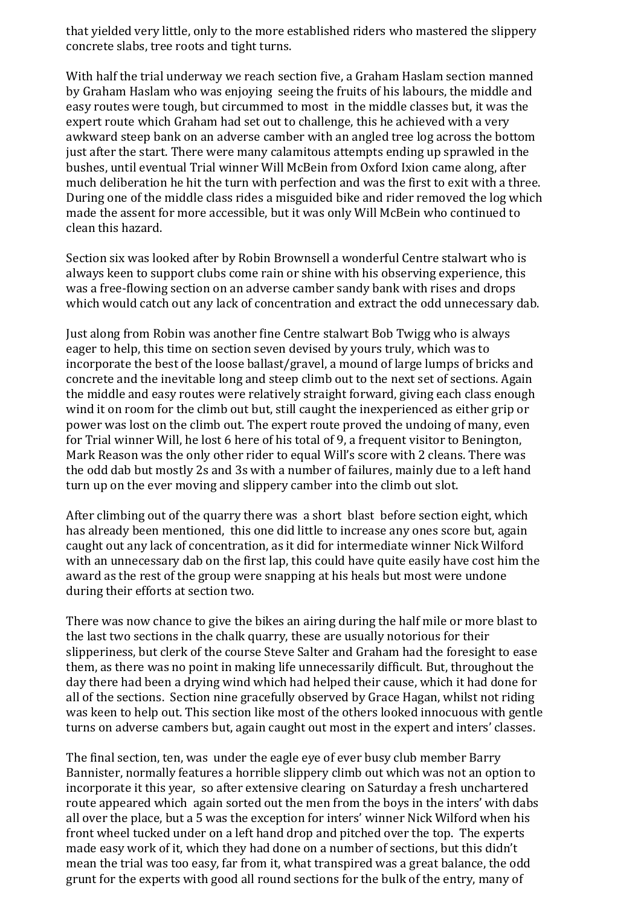that yielded very little, only to the more established riders who mastered the slippery concrete slabs, tree roots and tight turns.

With half the trial underway we reach section five, a Graham Haslam section manned by Graham Haslam who was enjoying seeing the fruits of his labours, the middle and easy routes were tough, but circummed to most in the middle classes but, it was the expert route which Graham had set out to challenge, this he achieved with a very awkward steep bank on an adverse camber with an angled tree log across the bottom just after the start. There were many calamitous attempts ending up sprawled in the bushes, until eventual Trial winner Will McBein from Oxford Ixion came along, after much deliberation he hit the turn with perfection and was the first to exit with a three. During one of the middle class rides a misguided bike and rider removed the log which made the assent for more accessible, but it was only Will McBein who continued to clean this hazard.

Section six was looked after by Robin Brownsell a wonderful Centre stalwart who is always keen to support clubs come rain or shine with his observing experience, this was a free-flowing section on an adverse camber sandy bank with rises and drops which would catch out any lack of concentration and extract the odd unnecessary dab.

Just along from Robin was another fine Centre stalwart Bob Twigg who is always eager to help, this time on section seven devised by yours truly, which was to incorporate the best of the loose ballast/gravel, a mound of large lumps of bricks and concrete and the inevitable long and steep climb out to the next set of sections. Again the middle and easy routes were relatively straight forward, giving each class enough wind it on room for the climb out but, still caught the inexperienced as either grip or power was lost on the climb out. The expert route proved the undoing of many, even for Trial winner Will, he lost 6 here of his total of 9, a frequent visitor to Benington, Mark Reason was the only other rider to equal Will's score with 2 cleans. There was the odd dab but mostly 2s and 3s with a number of failures, mainly due to a left hand turn up on the ever moving and slippery camber into the climb out slot.

After climbing out of the quarry there was a short blast before section eight, which has already been mentioned, this one did little to increase any ones score but, again caught out any lack of concentration, as it did for intermediate winner Nick Wilford with an unnecessary dab on the first lap, this could have quite easily have cost him the award as the rest of the group were snapping at his heals but most were undone during their efforts at section two.

There was now chance to give the bikes an airing during the half mile or more blast to the last two sections in the chalk quarry, these are usually notorious for their slipperiness, but clerk of the course Steve Salter and Graham had the foresight to ease them, as there was no point in making life unnecessarily difficult. But, throughout the day there had been a drying wind which had helped their cause, which it had done for all of the sections. Section nine gracefully observed by Grace Hagan, whilst not riding was keen to help out. This section like most of the others looked innocuous with gentle turns on adverse cambers but, again caught out most in the expert and inters' classes.

The final section, ten, was under the eagle eye of ever busy club member Barry Bannister, normally features a horrible slippery climb out which was not an option to incorporate it this year, so after extensive clearing on Saturday a fresh unchartered route appeared which again sorted out the men from the boys in the inters' with dabs all over the place, but a 5 was the exception for inters' winner Nick Wilford when his front wheel tucked under on a left hand drop and pitched over the top. The experts made easy work of it, which they had done on a number of sections, but this didn't mean the trial was too easy, far from it, what transpired was a great balance, the odd grunt for the experts with good all round sections for the bulk of the entry, many of